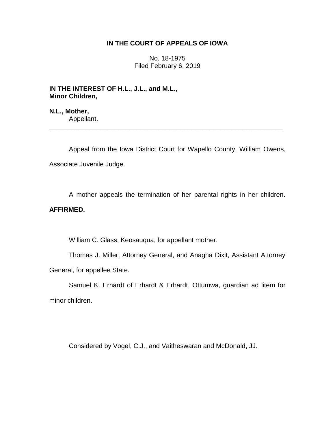## **IN THE COURT OF APPEALS OF IOWA**

No. 18-1975 Filed February 6, 2019

**IN THE INTEREST OF H.L., J.L., and M.L., Minor Children,**

**N.L., Mother,** Appellant.

Appeal from the Iowa District Court for Wapello County, William Owens, Associate Juvenile Judge.

\_\_\_\_\_\_\_\_\_\_\_\_\_\_\_\_\_\_\_\_\_\_\_\_\_\_\_\_\_\_\_\_\_\_\_\_\_\_\_\_\_\_\_\_\_\_\_\_\_\_\_\_\_\_\_\_\_\_\_\_\_\_\_\_

A mother appeals the termination of her parental rights in her children.

## **AFFIRMED.**

William C. Glass, Keosauqua, for appellant mother.

Thomas J. Miller, Attorney General, and Anagha Dixit, Assistant Attorney General, for appellee State.

Samuel K. Erhardt of Erhardt & Erhardt, Ottumwa, guardian ad litem for minor children.

Considered by Vogel, C.J., and Vaitheswaran and McDonald, JJ.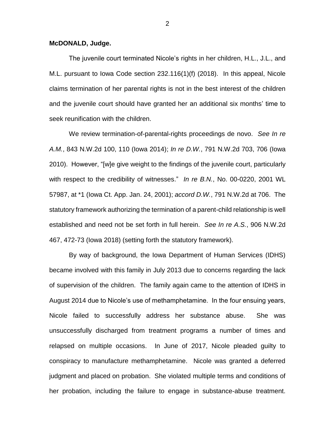## **McDONALD, Judge.**

The juvenile court terminated Nicole's rights in her children, H.L., J.L., and M.L. pursuant to Iowa Code section 232.116(1)(f) (2018). In this appeal, Nicole claims termination of her parental rights is not in the best interest of the children and the juvenile court should have granted her an additional six months' time to seek reunification with the children.

We review termination-of-parental-rights proceedings de novo. *See In re A.M.*, 843 N.W.2d 100, 110 (Iowa 2014); *In re D.W.*, 791 N.W.2d 703, 706 (Iowa 2010). However, "[w]e give weight to the findings of the juvenile court, particularly with respect to the credibility of witnesses." *In re B.N.*, No. 00-0220, 2001 WL 57987, at \*1 (Iowa Ct. App. Jan. 24, 2001); *accord D.W.*, 791 N.W.2d at 706. The statutory framework authorizing the termination of a parent-child relationship is well established and need not be set forth in full herein. *See In re A.S.*, 906 N.W.2d 467, 472-73 (Iowa 2018) (setting forth the statutory framework).

By way of background, the Iowa Department of Human Services (IDHS) became involved with this family in July 2013 due to concerns regarding the lack of supervision of the children. The family again came to the attention of IDHS in August 2014 due to Nicole's use of methamphetamine. In the four ensuing years, Nicole failed to successfully address her substance abuse. She was unsuccessfully discharged from treatment programs a number of times and relapsed on multiple occasions. In June of 2017, Nicole pleaded guilty to conspiracy to manufacture methamphetamine. Nicole was granted a deferred judgment and placed on probation. She violated multiple terms and conditions of her probation, including the failure to engage in substance-abuse treatment.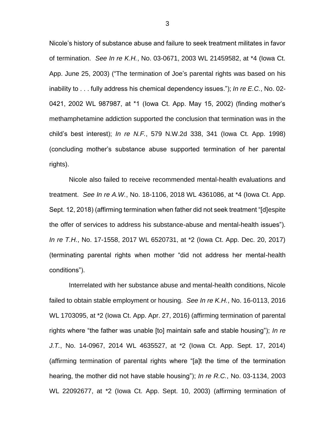Nicole's history of substance abuse and failure to seek treatment militates in favor of termination. *See In re K.H.*, No. 03-0671, 2003 WL 21459582, at \*4 (Iowa Ct. App. June 25, 2003) ("The termination of Joe's parental rights was based on his inability to . . . fully address his chemical dependency issues."); *In re E.C.*, No. 02- 0421, 2002 WL 987987, at \*1 (Iowa Ct. App. May 15, 2002) (finding mother's methamphetamine addiction supported the conclusion that termination was in the child's best interest); *In re N.F.*, 579 N.W.2d 338, 341 (Iowa Ct. App. 1998) (concluding mother's substance abuse supported termination of her parental rights).

Nicole also failed to receive recommended mental-health evaluations and treatment. *See In re A.W.*, No. 18-1106, 2018 WL 4361086, at \*4 (Iowa Ct. App. Sept. 12, 2018) (affirming termination when father did not seek treatment "[d]espite the offer of services to address his substance-abuse and mental-health issues"). *In re T.H.*, No. 17-1558, 2017 WL 6520731, at \*2 (Iowa Ct. App. Dec. 20, 2017) (terminating parental rights when mother "did not address her mental-health conditions").

Interrelated with her substance abuse and mental-health conditions, Nicole failed to obtain stable employment or housing. *See In re K.H.*, No. 16-0113, 2016 WL 1703095, at \*2 (Iowa Ct. App. Apr. 27, 2016) (affirming termination of parental rights where "the father was unable [to] maintain safe and stable housing"); *In re J.T.*, No. 14-0967, 2014 WL 4635527, at \*2 (Iowa Ct. App. Sept. 17, 2014) (affirming termination of parental rights where "[a]t the time of the termination hearing, the mother did not have stable housing"); *In re R.C.*, No. 03-1134, 2003 WL 22092677, at \*2 (Iowa Ct. App. Sept. 10, 2003) (affirming termination of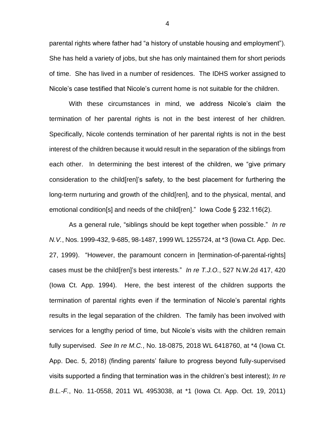parental rights where father had "a history of unstable housing and employment"). She has held a variety of jobs, but she has only maintained them for short periods of time. She has lived in a number of residences. The IDHS worker assigned to Nicole's case testified that Nicole's current home is not suitable for the children.

With these circumstances in mind, we address Nicole's claim the termination of her parental rights is not in the best interest of her children. Specifically, Nicole contends termination of her parental rights is not in the best interest of the children because it would result in the separation of the siblings from each other. In determining the best interest of the children, we "give primary consideration to the child[ren]'s safety, to the best placement for furthering the long-term nurturing and growth of the child[ren], and to the physical, mental, and emotional condition[s] and needs of the child[ren]." Iowa Code § 232.116(2).

As a general rule, "siblings should be kept together when possible." *In re N.V.*, Nos. 1999-432, 9-685, 98-1487, 1999 WL 1255724, at \*3 (Iowa Ct. App. Dec. 27, 1999). "However, the paramount concern in [termination-of-parental-rights] cases must be the child[ren]'s best interests." *In re T.J.O.*, 527 N.W.2d 417, 420 (Iowa Ct. App. 1994). Here, the best interest of the children supports the termination of parental rights even if the termination of Nicole's parental rights results in the legal separation of the children. The family has been involved with services for a lengthy period of time, but Nicole's visits with the children remain fully supervised. *See In re M.C.*, No. 18-0875, 2018 WL 6418760, at \*4 (Iowa Ct. App. Dec. 5, 2018) (finding parents' failure to progress beyond fully-supervised visits supported a finding that termination was in the children's best interest); *In re B.L.-F.*, No. 11-0558, 2011 WL 4953038, at \*1 (Iowa Ct. App. Oct. 19, 2011)

4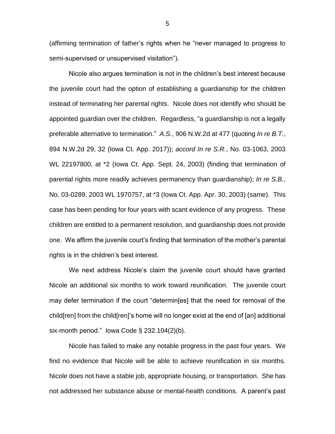(affirming termination of father's rights when he "never managed to progress to semi-supervised or unsupervised visitation").

Nicole also argues termination is not in the children's best interest because the juvenile court had the option of establishing a guardianship for the children instead of terminating her parental rights. Nicole does not identify who should be appointed guardian over the children. Regardless, "a guardianship is not a legally preferable alternative to termination." *A.S.*, 906 N.W.2d at 477 (quoting *In re B.T.*, 894 N.W.2d 29, 32 (Iowa Ct. App. 2017)); *accord In re S.R.*, No. 03-1063, 2003 WL 22197800, at \*2 (Iowa Ct. App. Sept. 24, 2003) (finding that termination of parental rights more readily achieves permanency than guardianship); *In re S.B.*, No. 03-0289, 2003 WL 1970757, at \*3 (Iowa Ct. App. Apr. 30, 2003) (same). This case has been pending for four years with scant evidence of any progress. These children are entitled to a permanent resolution, and guardianship does not provide one. We affirm the juvenile court's finding that termination of the mother's parental rights is in the children's best interest.

We next address Nicole's claim the juvenile court should have granted Nicole an additional six months to work toward reunification. The juvenile court may defer termination if the court "determin[es] that the need for removal of the child[ren] from the child[ren]'s home will no longer exist at the end of [an] additional six-month period." Iowa Code § 232.104(2)(b).

Nicole has failed to make any notable progress in the past four years. We find no evidence that Nicole will be able to achieve reunification in six months. Nicole does not have a stable job, appropriate housing, or transportation. She has not addressed her substance abuse or mental-health conditions. A parent's past

5